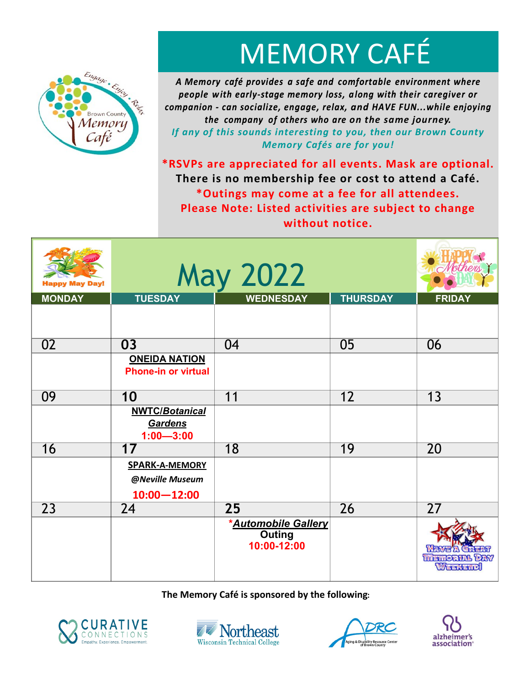

# MEMORY CAFÉ

A Memory café provides a safe and comfortable environment where people with early-stage memory loss, along with their caregiver or companion - can socialize, engage, relax, and HAVE FUN...while enjoying *the company of others who are on the same journey. If any of this sounds interesting to you, then our Brown County Memory Cafés are for you!* 

**\*RSVPs are appreciated for all events. Mask are optional. There is no membership fee or cost to attend a Café. \*Outings may come at a fee for all attendees. Please Note: Listed activities are subject to change without notice.** 

| ppy May Day!    | <b>May 2022</b>                                             |                                                     |                 | Nothers                         |
|-----------------|-------------------------------------------------------------|-----------------------------------------------------|-----------------|---------------------------------|
| <b>MONDAY</b>   | <b>TUESDAY</b>                                              | <b>WEDNESDAY</b>                                    | <b>THURSDAY</b> | <b>FRIDAY</b>                   |
|                 |                                                             |                                                     |                 |                                 |
| $\overline{02}$ | 03                                                          | 04                                                  | $\overline{05}$ | 06                              |
|                 | <b>ONEIDA NATION</b><br><b>Phone-in or virtual</b>          |                                                     |                 |                                 |
| 09              | 10                                                          | 11                                                  | $\overline{12}$ | $\overline{13}$                 |
|                 | <b>NWTC/Botanical</b><br>Gardens<br>$1:00 - 3:00$           |                                                     |                 |                                 |
| $\overline{16}$ | $\overline{17}$                                             | $\overline{18}$                                     | 19              | $\overline{20}$                 |
|                 | <b>SPARK-A-MEMORY</b><br>@Neville Museum<br>$10:00 - 12:00$ |                                                     |                 |                                 |
| $\overline{23}$ | $\overline{24}$                                             | $\overline{25}$                                     | $\overline{26}$ | 27                              |
|                 |                                                             | *Automobile Gallery<br><b>Outing</b><br>10:00-12:00 |                 | <b>THE EMORTER DAY</b><br>WHENE |

**The Memory Café is sponsored by the following:**